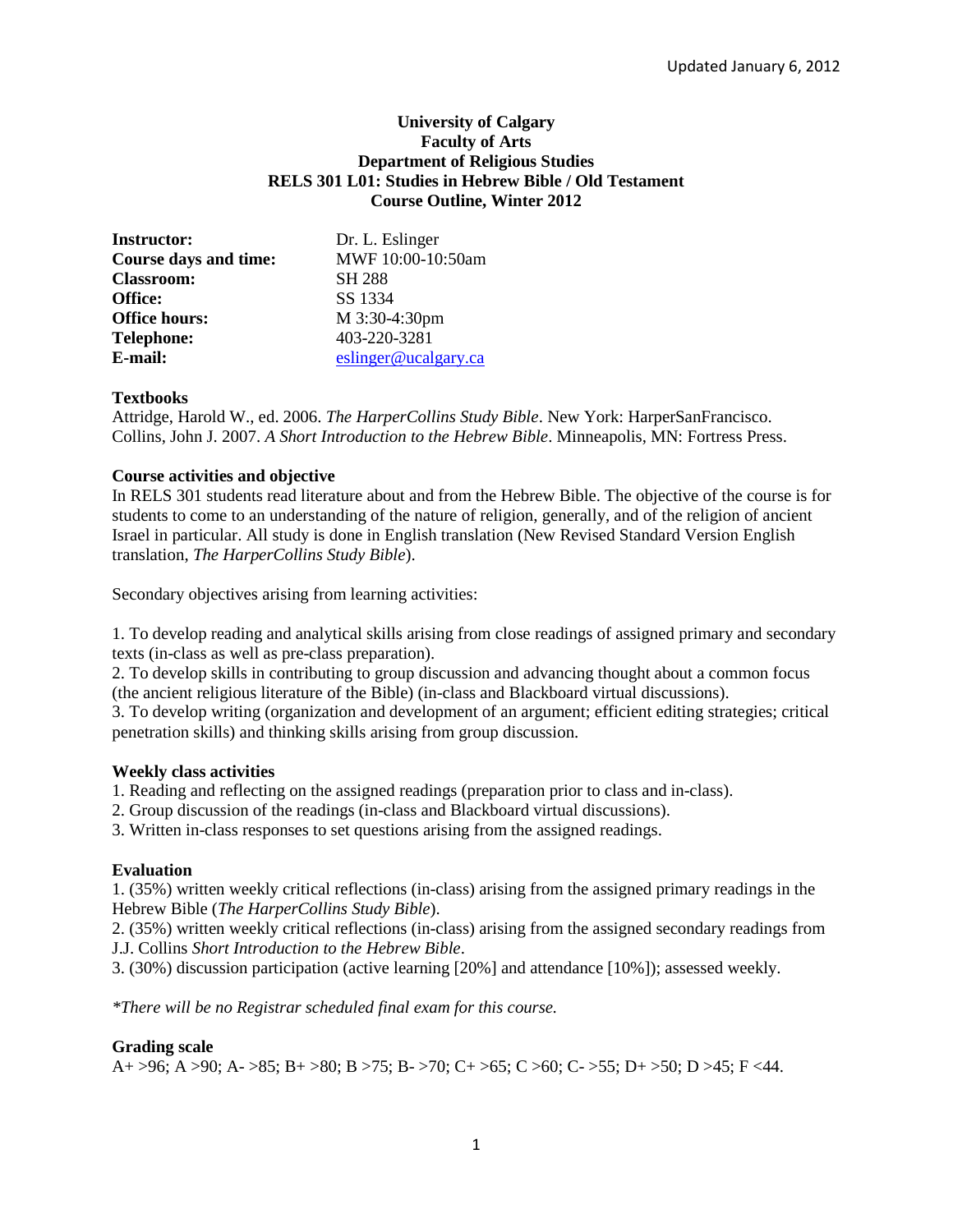# **University of Calgary Faculty of Arts Department of Religious Studies RELS 301 L01: Studies in Hebrew Bible / Old Testament Course Outline, Winter 2012**

| <b>Instructor:</b>    | Dr. L. Eslinger      |
|-----------------------|----------------------|
| Course days and time: | MWF 10:00-10:50am    |
| <b>Classroom:</b>     | <b>SH 288</b>        |
| Office:               | SS 1334              |
| <b>Office hours:</b>  | M 3:30-4:30pm        |
| <b>Telephone:</b>     | 403-220-3281         |
| E-mail:               | eslinger@ucalgary.ca |

# **Textbooks**

Attridge, Harold W., ed. 2006. *The HarperCollins Study Bible*. New York: HarperSanFrancisco. Collins, John J. 2007. *A Short Introduction to the Hebrew Bible*. Minneapolis, MN: Fortress Press.

# **Course activities and objective**

In RELS 301 students read literature about and from the Hebrew Bible. The objective of the course is for students to come to an understanding of the nature of religion, generally, and of the religion of ancient Israel in particular. All study is done in English translation (New Revised Standard Version English translation, *The HarperCollins Study Bible*).

Secondary objectives arising from learning activities:

1. To develop reading and analytical skills arising from close readings of assigned primary and secondary texts (in-class as well as pre-class preparation).

2. To develop skills in contributing to group discussion and advancing thought about a common focus (the ancient religious literature of the Bible) (in-class and Blackboard virtual discussions).

3. To develop writing (organization and development of an argument; efficient editing strategies; critical penetration skills) and thinking skills arising from group discussion.

## **Weekly class activities**

1. Reading and reflecting on the assigned readings (preparation prior to class and in-class).

2. Group discussion of the readings (in-class and Blackboard virtual discussions).

3. Written in-class responses to set questions arising from the assigned readings.

# **Evaluation**

1. (35%) written weekly critical reflections (in-class) arising from the assigned primary readings in the Hebrew Bible (*The HarperCollins Study Bible*).

2. (35%) written weekly critical reflections (in-class) arising from the assigned secondary readings from J.J. Collins *Short Introduction to the Hebrew Bible*.

3. (30%) discussion participation (active learning [20%] and attendance [10%]); assessed weekly.

*\*There will be no Registrar scheduled final exam for this course.*

## **Grading scale**

A+ >96; A >90; A- >85; B+ >80; B >75; B- >70; C+ >65; C >60; C- >55; D+ >50; D >45; F <44.